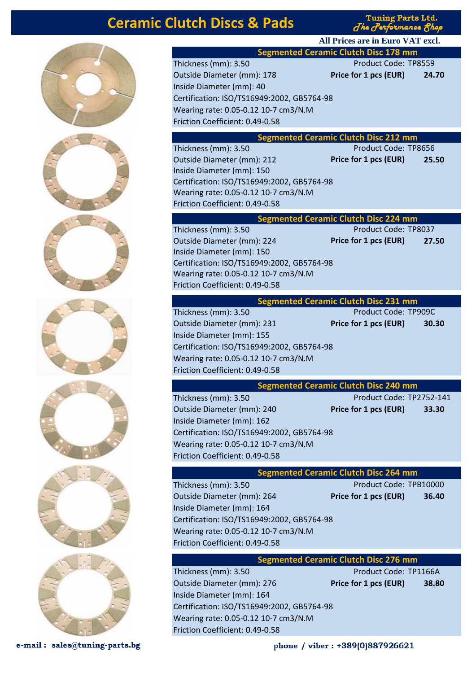# **Ceramic Clutch Discs & Pads**

**Tuning Parts Ltd.** The Performance 8

**All Prices are in Euro VAT excl.**



phone / viber: +389(0)887926621